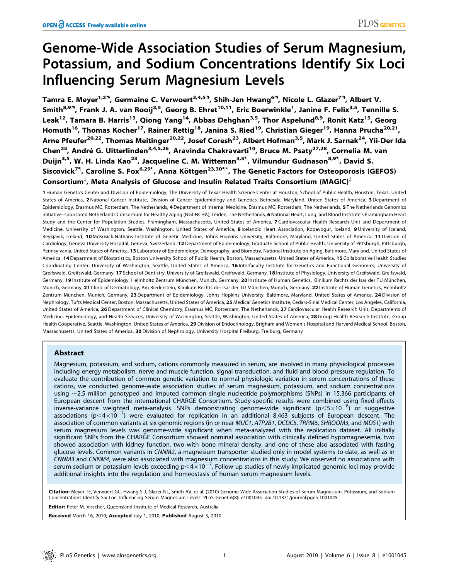# Genome-Wide Association Studies of Serum Magnesium, Potassium, and Sodium Concentrations Identify Six Loci Influencing Serum Magnesium Levels

Tamra E. Meyer<sup>1,29</sup>, Germaine C. Verwoert<sup>3,4,59</sup>, Shih-Jen Hwang<sup>69</sup>, Nicole L. Glazer<sup>79</sup>, Albert V. Smith<sup>8,93</sup>, Frank J. A. van Rooij<sup>3,5</sup>, Georg B. Ehret<sup>10,11</sup>, Eric Boerwinkle<sup>1</sup>, Janine F. Felix<sup>3,5</sup>, Tennille S. Leak<sup>12</sup>, Tamara B. Harris<sup>13</sup>, Qiong Yang<sup>14</sup>, Abbas Dehghan<sup>3,5</sup>, Thor Aspelund<sup>8,9</sup>, Ronit Katz<sup>15</sup>, Georg Homuth<sup>16</sup>, Thomas Kocher<sup>17</sup>, Rainer Rettig<sup>18</sup>, Janina S. Ried<sup>19</sup>, Christian Gieger<sup>19</sup>, Hanna Prucha<sup>20,21</sup>, Arne Pfeufer<sup>20,22</sup>, Thomas Meitinger<sup>20,22</sup>, Josef Coresh<sup>23</sup>, Albert Hofman<sup>3,5</sup>, Mark J. Sarnak<sup>24</sup>, Yii-Der Ida Chen<sup>25</sup>, André G. Uitterlinden<sup>3,4,5,26</sup>, Aravinda Chakravarti<sup>10</sup>, Bruce M. Psaty<sup>27,28</sup>, Cornelia M. van Duijn<sup>3,5</sup>, W. H. Linda Kao<sup>23</sup>, Jacqueline C. M. Witteman<sup>3,5¶</sup>, Vilmundur Gudnason<sup>8,9¶</sup>, David S. Siscovick<sup>7¶</sup>, Caroline S. Fox<sup>6,29¶</sup>, Anna Köttgen<sup>23,30¶\*</sup>, The Genetic Factors for Osteoporosis (GEFOS) Consortium $^{\ddagger}$ , Meta Analysis of Glucose and Insulin Related Traits Consortium (MAGIC) $^{\ddagger}$ 

1 Human Genetics Center and Division of Epidemiology, The University of Texas Health Science Center at Houston, School of Public Health, Houston, Texas, United States of America, 2 National Cancer Institute, Division of Cancer Epidemiology and Genetics, Bethesda, Maryland, United States of America, 3 Department of Epidemiology, Erasmus MC, Rotterdam, The Netherlands, 4 Department of Internal Medicine, Erasmus MC, Rotterdam, The Netherlands, 5 The Netherlands Genomics Initiative-sponsored Netherlands Consortium for Healthy Aging (NGI-NCHA), Leiden, The Netherlands, 6 National Heart, Lung, and Blood Institute's Framingham Heart Study and the Center for Population Studies, Framingham, Massachusetts, United States of America, 7 Cardiovascular Health Research Unit and Department of Medicine, University of Washington, Seattle, Washington, United States of America, 8 Icelandic Heart Association, Kopavogur, Iceland, 9 University of Iceland, Reykjavik, Iceland, 10 McKusick-Nathans Institute of Genetic Medicine, Johns Hopkins University, Baltimore, Maryland, United States of America, 11 Division of Cardiology, Geneva University Hospital, Geneva, Switzerland, 12 Department of Epidemiology, Graduate School of Public Health, University of Pittsburgh, Pittsburgh, Pennsylvania, United States of America, 13 Laboratory of Epidemiology, Demography, and Biometry, National Institute on Aging, Baltimore, Maryland, United States of America, 14 Department of Biostatistics, Boston University School of Public Health, Boston, Massachusetts, United States of America, 15 Collaborative Health Studies Coordinating Center, University of Washington, Seattle, United States of America, 16 Interfaculty Institute for Genetics and Functional Genomics, University of Greifswald, Greifswald, Germany, 17 School of Dentistry, University of Greifswald, Greifswald, Germany, 18 Institute of Physiology, University of Greifswald, Greifswald, Germany, 19 Institute of Epidemiology, Helmholtz Zentrum München, Munich, Germany, 20 Institute of Human Genetics, Klinikum Rechts der Isar der TU München, Munich, Germany, 21 Clinic of Dermatology, Am Biederstein, Klinikum Rechts der Isar der TU München, Munich, Germany, 22 Institute of Human Genetics, Helmholtz Zentrum München, Munich, Germany, 23 Department of Epidemiology, Johns Hopkins University, Baltimore, Maryland, United States of America, 24 Division of Nephrology, Tufts Medical Center, Boston, Massachusetts, United States of America, 25 Medical Genetics Institute, Cedars-Sinai Medical Center, Los Angeles, California, United States of America, 26 Department of Clinical Chemistry, Erasmus MC, Rotterdam, The Netherlands, 27 Cardiovascular Health Research Unit, Departments of Medicine, Epidemiology, and Health Services, University of Washington, Seattle, Washington, United States of America, 28 Group Health Research Institute, Group Health Cooperative, Seattle, Washington, United States of America, 29 Division of Endocrinology, Brigham and Women's Hospital and Harvard Medical School, Boston, Massachusetts, United States of America, 30 Division of Nephrology, University Hospital Freiburg, Freiburg, Germany

# Abstract

Magnesium, potassium, and sodium, cations commonly measured in serum, are involved in many physiological processes including energy metabolism, nerve and muscle function, signal transduction, and fluid and blood pressure regulation. To evaluate the contribution of common genetic variation to normal physiologic variation in serum concentrations of these cations, we conducted genome-wide association studies of serum magnesium, potassium, and sodium concentrations using  $\sim$ 2.5 million genotyped and imputed common single nucleotide polymorphisms (SNPs) in 15,366 participants of European descent from the international CHARGE Consortium. Study-specific results were combined using fixed-effects inverse-variance weighted meta-analysis. SNPs demonstrating genome-wide significant (p $\lt5\times10^{-8}$ ) or suggestive associations (p $\leq$ 4 $\times$ 10<sup>-7</sup>) were evaluated for replication in an additional 8,463 subjects of European descent. The association of common variants at six genomic regions (in or near MUC1, ATP2B1, DCDC5, TRPM6, SHROOM3, and MDS1) with serum magnesium levels was genome-wide significant when meta-analyzed with the replication dataset. All initially significant SNPs from the CHARGE Consortium showed nominal association with clinically defined hypomagnesemia, two showed association with kidney function, two with bone mineral density, and one of these also associated with fasting glucose levels. Common variants in CNNM2, a magnesium transporter studied only in model systems to date, as well as in CNNM3 and CNNM4, were also associated with magnesium concentrations in this study. We observed no associations with serum sodium or potassium levels exceeding p $\lt 4\times10^{-7}$ . Follow-up studies of newly implicated genomic loci may provide additional insights into the regulation and homeostasis of human serum magnesium levels.

Citation: Meyer TE, Verwoert GC, Hwang S-J, Glazer NL, Smith AV, et al. (2010) Genome-Wide Association Studies of Serum Magnesium, Potassium, and Sodium Concentrations Identify Six Loci Influencing Serum Magnesium Levels. PLoS Genet 6(8): e1001045. doi:10.1371/journal.pgen.1001045

Editor: Peter M. Visscher, Queensland Institute of Medical Research, Australia

Received March 16, 2010; Accepted July 1, 2010; Published August 5, 2010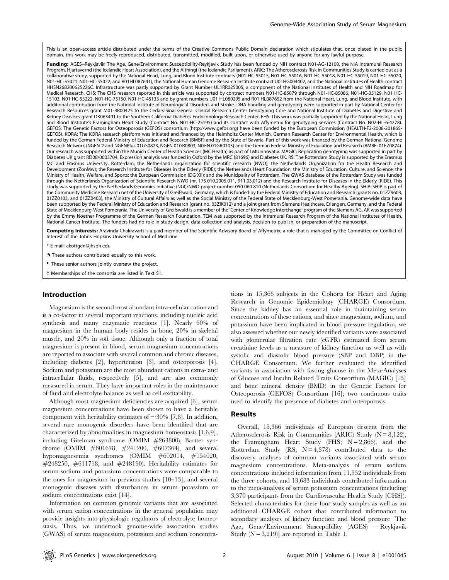This is an open-access article distributed under the terms of the Creative Commons Public Domain declaration which stipulates that, once placed in the public domain, this work may be freely reproduced, distributed, transmitted, modified, built upon, or otherwise used by anyone for any lawful purpose.

Funding: AGES--Reykjavik: The Age, Gene/Environment Susceptibility-Reykjavik Study has been funded by NIH contract N01-AG-12100, the NIA Intramural Research Program, Hjartavernd (the Icelandic Heart Association), and the Althingi (the Icelandic Parliament). ARIC: The Atherosclerosis Risk in Communities Study is carried out as a collaborative study, supported by the National Heart, Lung, and Blood Institute contracts (N01-HC-55015, N01-HC-55016, N01-HC-55018, N01-HC-55019, N01-HC-55020, N01-HC-55021, N01-HC-55022, and R01HL087641), the National Human Genome Research Institute contract U01HG004402, and the National Institutes of Health contract HHSN268200625226C. Infrastructure was partly supported by Grant Number UL1RR025005, a component of the National Institutes of Health and NIH Roadmap for Medical Research. CHS: The CHS research reported in this article was supported by contract numbers N01-HC-85079 through N01-HC-85086, N01-HC-35129, N01 HC-15103, N01 HC-55222, N01-HC-75150, N01-HC-45133 and by grant numbers U01 HL080295 and R01 HL087652 from the National Heart, Lung, and Blood Institute, with additional contribution from the National Institute of Neurological Disorders and Stroke. DNA handling and genotyping were supported in part by National Center for Research Resources grant M01-RR00425 to the Cedars-Sinai General Clinical Research Center Genotyping Core and National Institute of Diabetes and Digestive and Kidney Diseases grant DK063491 to the Southern California Diabetes Endocrinology Research Center. FHS: This work was partially supported by the National Heart, Lung and Blood Institute's Framingham Heart Study (Contract No. N01-HC-25195) and its contract with Affymetrix for genotyping services (Contract No. N02-HL-6-4278). GEFOS: The Genetic Factors for Osteoporosis (GEFOS) consortium (http://www.gefos.org) have been funded by the European Commission (HEALTH-F2-2008-201865- GEFOS). KORA: The KORA research platform was initiated and financed by the Helmholtz Center Munich, German Research Center for Environmental Health, which is funded by the German Federal Ministry of Education and Research (BMBF) and by the State of Bavaria. Part of this work was financed by the German National Genome Research Network (NGFN-2 and NGFNPlus 01GS0823, NGFN 01GR0803, NGFN 01GR0103) and the German Federal Ministry of Education and Research (BMBF: 01EZ0874). Our research was supported within the Munich Center of Health Sciences (MC Health) as part of LMUinnovativ. MAGIC: Replication genotyping was supported in part by Diabetes UK grant RD08/0003704. Expression analysis was funded in Oxford by the MRC (81696) and Diabetes UK. RS: The Rotterdam Study is supported by the Erasmus MC and Erasmus University, Rotterdam; the Netherlands organization for scientific research (NWO); the Netherlands Organization for the Health Research and Development (ZonMw); the Research Institute for Diseases in the Elderly (RIDE); the Netherlands Heart Foundation; the Ministry of Education, Culture, and Science; the Ministry of Health, Welfare, and Sports; the European Commission (DG XII); and the Municipality of Rotterdam. The GWAS database of the Rotterdam Study was funded through the Netherlands Organization of Scientific Research NWO (nr. 175.010.2005.011, 911.03.012) and the Research Institute for Diseases in the Elderly (RIDE). This study was supported by the Netherlands Genomics Initiative (NGI)/NWO project number 050 060 810 (Netherlands Consortium for Healthy Ageing). SHIP: SHIP is part of the Community Medicine Research net of the University of Greifswald, Germany, which is funded by the Federal Ministry of Education and Research (grants no. 01ZZ9603, 01ZZ0103, and 01ZZ0403), the Ministry of Cultural Affairs as well as the Social Ministry of the Federal State of Mecklenburg-West Pomerania. Genome-wide data have been supported by the Federal Ministry of Education and Research (grant no. 03ZIK012) and a joint grant from Siemens Healthcare, Erlangen, Germany, and the Federal State of Mecklenburg-West Pomerania. The University of Greifswald is a member of the 'Center of Knowledge Interchange' program of the Siemens AG. AK was supported by the Emmy Noether Programme of the German Research Foundation. TEM was supported by the Intramural Research Program of the National Institutes of Health, National Cancer Institute. The funders had no role in study design, data collection and analysis, decision to publish, or preparation of the manuscript.

Competing Interests: Aravinda Chakravarti is a paid member of the Scientific Advisory Board of Affymetrix, a role that is managed by the Committee on Conflict of Interest of the Johns Hopkins University School of Medicine.

\* E-mail: akottgen@jhsph.edu

. These authors contributed equally to this work.

" These senior authors jointly oversaw the project.

{ Memberships of the consortia are listed in Text S1.

## Introduction

Magnesium is the second most abundant intra-cellular cation and is a co-factor in several important reactions, including nucleic acid synthesis and many enzymatic reactions [1]. Nearly 60% of magnesium in the human body resides in bone, 20% in skeletal muscle, and 20% in soft tissue. Although only a fraction of total magnesium is present in blood, serum magnesium concentrations are reported to associate with several common and chronic diseases, including diabetes [2], hypertension [3], and osteoporosis [4]. Sodium and potassium are the most abundant cations in extra- and intracellular fluids, respectively [5], and are also commonly measured in serum. They have important roles in the maintenance of fluid and electrolyte balance as well as cell excitability.

Although most magnesium deficiencies are acquired [6], serum magnesium concentrations have been shown to have a heritable component with heritability estimates of  $\sim$ 30% [7,8]. In addition, several rare monogenic disorders have been identified that are characterized by abnormalities in magnesium homeostasis [1,6,9], including Gitelman syndrome (OMIM #263800), Bartter syndrome (OMIM #601678, #241200, #607364), and several hypomagnesemia syndromes (OMIM #602014, #154020,  $\#248250, \#611718, \text{ and } \#248190$ . Heritability estimates for serum sodium and potassium concentrations were comparable to the ones for magnesium in previous studies [10–13], and several monogenic diseases with disturbances in serum potassium or sodium concentrations exist [14].

Information on common genomic variants that are associated with serum cation concentrations in the general population may provide insights into physiologic regulators of electrolyte homeostasis. Thus, we undertook genome-wide association studies (GWAS) of serum magnesium, potassium and sodium concentra-

tions in 15,366 subjects in the Cohorts for Heart and Aging Research in Genomic Epidemiology (CHARGE) Consortium. Since the kidney has an essential role in maintaining serum concentrations of these cations, and since magnesium, sodium, and potassium have been implicated in blood pressure regulation, we also assessed whether our newly identified variants were associated with glomerular filtration rate (eGFR) estimated from serum creatinine levels as a measure of kidney function as well as with systolic and diastolic blood pressure (SBP and DBP) in the CHARGE Consortium. We further evaluated the identified variants in association with fasting glucose in the Meta-Analyses of Glucose and Insulin Related Traits Consortium (MAGIC) [15] and bone mineral density (BMD) in the Genetic Factors for Osteoporosis (GEFOS) Consortium [16]; two continuous traits used to identify the presence of diabetes and osteoporosis.

#### Results

Overall, 15,366 individuals of European descent from the Atherosclerosis Risk in Communities (ARIC) Study ( $N = 8,122$ ), the Framingham Heart Study (FHS;  $N = 2,866$ ), and the Rotterdam Study (RS;  $N = 4,378$ ) contributed data to the discovery analyses of common variants associated with serum magnesium concentrations. Meta-analysis of serum sodium concentrations included information from 11,552 individuals from the three cohorts, and 13,683 individuals contributed information to the meta-analysis of serum potassium concentrations (including 3,370 participants from the Cardiovascular Health Study [CHS]). Selected characteristics for these four study samples as well as an additional CHARGE cohort that contributed information to secondary analyses of kidney function and blood pressure [The Age, Gene/Environment Susceptibility (AGES) —Reykjavik Study  $(N = 3,219)$ ] are reported in Table 1.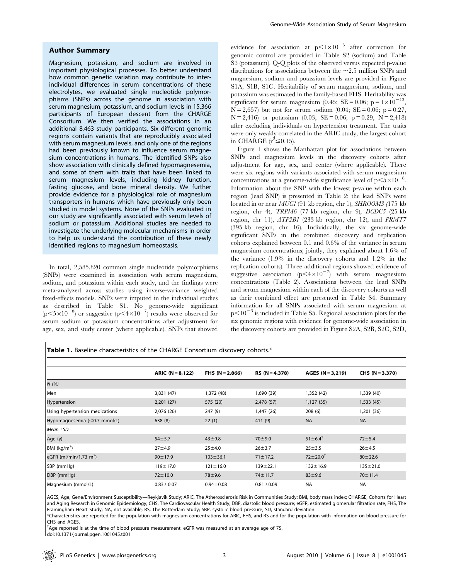### Author Summary

Magnesium, potassium, and sodium are involved in important physiological processes. To better understand how common genetic variation may contribute to interindividual differences in serum concentrations of these electrolytes, we evaluated single nucleotide polymorphisms (SNPs) across the genome in association with serum magnesium, potassium, and sodium levels in 15,366 participants of European descent from the CHARGE Consortium. We then verified the associations in an additional 8,463 study participants. Six different genomic regions contain variants that are reproducibly associated with serum magnesium levels, and only one of the regions had been previously known to influence serum magnesium concentrations in humans. The identified SNPs also show association with clinically defined hypomagnesemia, and some of them with traits that have been linked to serum magnesium levels, including kidney function, fasting glucose, and bone mineral density. We further provide evidence for a physiological role of magnesium transporters in humans which have previously only been studied in model systems. None of the SNPs evaluated in our study are significantly associated with serum levels of sodium or potassium. Additional studies are needed to investigate the underlying molecular mechanisms in order to help us understand the contribution of these newly identified regions to magnesium homeostasis.

In total, 2,585,820 common single nucleotide polymorphisms (SNPs) were examined in association with serum magnesium, sodium, and potassium within each study, and the findings were meta-analyzed across studies using inverse-variance weighted fixed-effects models. SNPs were imputed in the individual studies as described in Table S1. No genome-wide significant  $(p<5\times10^{-8})$  or suggestive  $(p<4\times10^{-7})$  results were observed for serum sodium or potassium concentrations after adjustment for age, sex, and study center (where applicable). SNPs that showed evidence for association at  $p<1\times10^{-5}$  after correction for genomic control are provided in Table S2 (sodium) and Table S3 (potassium). Q-Q plots of the observed versus expected p-value distributions for associations between the  $\sim$ 2.5 million SNPs and magnesium, sodium and potassium levels are provided in Figure S1A, S1B, S1C. Heritability of serum magnesium, sodium, and potassium was estimated in the family-based FHS. Heritability was significant for serum magnesium (0.45; SE = 0.06; p =  $1 \times 10^{-13}$ ,  $N = 2,657$  but not for serum sodium (0.04;  $SE = 0.06$ ;  $p = 0.27$ ,  $N = 2,416$  or potassium (0.03; SE = 0.06; p = 0.29, N = 2,418) after excluding individuals on hypertension treatment. The traits were only weakly correlated in the ARIC study, the largest cohort in CHARGE  $(r^2 \le 0.15)$ .

Figure 1 shows the Manhattan plot for associations between SNPs and magnesium levels in the discovery cohorts after adjustment for age, sex, and center (where applicable). There were six regions with variants associated with serum magnesium concentrations at a genome-wide significance level of  $p < 5 \times 10^{-8}$ . Information about the SNP with the lowest p-value within each region (lead SNP) is presented in Table 2; the lead SNPs were located in or near MUC1 (91 kb region, chr 1), SHROOM3 (175 kb region, chr 4), TRPM6 (77 kb region, chr 9), DCDC5 (25 kb region, chr 11), ATP2B1 (233 kb region, chr 12), and PRMT7 (395 kb region, chr 16). Individually, the six genome-wide significant SNPs in the combined discovery and replication cohorts explained between 0.1 and 0.6% of the variance in serum magnesium concentrations; jointly, they explained about 1.6% of the variance (1.9% in the discovery cohorts and 1.2% in the replication cohorts). Three additional regions showed evidence of suggestive association  $(p<4\times10^{-7})$  with serum magnesium concentrations (Table 2). Associations between the lead SNPs and serum magnesium within each of the discovery cohorts as well as their combined effect are presented in Table S4. Summary information for all SNPs associated with serum magnesium at  $p<10^{-6}$  is included in Table S5. Regional association plots for the six genomic regions with evidence for genome-wide association in the discovery cohorts are provided in Figure S2A, S2B, S2C, S2D,

Table 1. Baseline characteristics of the CHARGE Consortium discovery cohorts.\*

|                                    | $ARIC (N = 8,122)$ | FHS $(N = 2,866)$ | $RS (N = 4,378)$ | $AGES (N = 3,219)$      | $CHS (N = 3,370)$ |
|------------------------------------|--------------------|-------------------|------------------|-------------------------|-------------------|
| N(%)                               |                    |                   |                  |                         |                   |
| Men                                | 3,831 (47)         | 1,372 (48)        | 1,690 (39)       | 1,352 (42)              | 1,339 (40)        |
| Hypertension                       | 2,201(27)          | 575 (20)          | 2,478 (57)       | 1,127(35)               | 1,533(45)         |
| Using hypertension medications     | 2,076 (26)         | 247 (9)           | 1,447 (26)       | 208(6)                  | 1,201 (36)        |
| Hypomagnesemia (<0.7 mmol/L)       | 638(8)             | 22(1)             | 411 (9)          | <b>NA</b>               | <b>NA</b>         |
| $Mean \pm SD$                      |                    |                   |                  |                         |                   |
| Age (y)                            | $54 + 5.7$         | $43 + 9.8$        | $70 + 9.0$       | $51 \pm 6.4^{\dagger}$  | $72 + 5.4$        |
| BMI $(kq/m2)$                      | $27 + 4.9$         | $25 + 4.0$        | $26 + 3.7$       | $25 + 3.5$              | $26 + 4.5$        |
| eGFR (ml/min/1.73 m <sup>2</sup> ) | $90 \pm 17.9$      | $103 \pm 36.1$    | $71 \pm 17.2$    | $72 \pm 20.0^{\dagger}$ | $80 + 22.6$       |
| SBP (mmHq)                         | $119 + 17.0$       | $121 \pm 16.0$    | $139 + 22.1$     | $132 \pm 16.9$          | $135 + 21.0$      |
| DBP (mmHq)                         | $72 \pm 10.0$      | $78 + 9.6$        | $74 \pm 11.7$    | $83 + 9.6$              | $70 \pm 11.4$     |
| Magnesium (mmol/L)                 | $0.83 \pm 0.07$    | $0.94 \pm 0.08$   | $0.81 \pm 0.09$  | <b>NA</b>               | <b>NA</b>         |

AGES, Age, Gene/Environment Susceptibility—Reykjavik Study; ARIC, The Atherosclerosis Risk in Communities Study; BMI, body mass index; CHARGE, Cohorts for Heart and Aging Research in Genomic Epidemiology; CHS, The Cardiovascular Health Study; DBP, diastolic blood pressure; eGFR, estimated glomerular filtration rate; FHS, The Framingham Heart Study; NA, not available; RS, The Rotterdam Study; SBP, systolic blood pressure; SD, standard deviation.

\*Characteristics are reported for the population with magnesium concentrations for ARIC, FHS, and RS and for the population with information on blood pressure for CHS and AGES

{ Age reported is at the time of blood pressure measurement. eGFR was measured at an average age of 75. doi:10.1371/journal.pgen.1001045.t001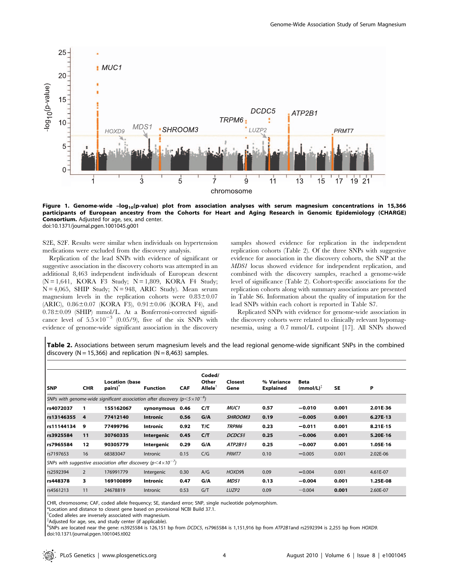

Figure 1. Genome-wide -log<sub>10</sub>(p-value) plot from association analyses with serum magnesium concentrations in 15,366 participants of European ancestry from the Cohorts for Heart and Aging Research in Genomic Epidemiology (CHARGE) Consortium. Adjusted for age, sex, and center. doi:10.1371/journal.pgen.1001045.g001

S2E, S2F. Results were similar when individuals on hypertension medications were excluded from the discovery analysis.

Replication of the lead SNPs with evidence of significant or suggestive association in the discovery cohorts was attempted in an additional 8,463 independent individuals of European descent  $(N = 1,641, KORA F3 Study; N = 1,809, KORA F4 Study;$  $N = 4,065$ , SHIP Study;  $N = 948$ , ARIC Study). Mean serum magnesium levels in the replication cohorts were  $0.83 \pm 0.07$ (ARIC),  $0.86 \pm 0.07$  (KORA F3),  $0.91 \pm 0.06$  (KORA F4), and  $0.78 \pm 0.09$  (SHIP) mmol/L. At a Bonferroni-corrected significance level of  $5.5 \times 10^{-3}$  (0.05/9), five of the six SNPs with evidence of genome-wide significant association in the discovery

samples showed evidence for replication in the independent replication cohorts (Table 2). Of the three SNPs with suggestive evidence for association in the discovery cohorts, the SNP at the MDS1 locus showed evidence for independent replication, and combined with the discovery samples, reached a genome-wide level of significance (Table 2). Cohort-specific associations for the replication cohorts along with summary associations are presented in Table S6. Information about the quality of imputation for the lead SNPs within each cohort is reported in Table S7.

Replicated SNPs with evidence for genome-wide association in the discovery cohorts were related to clinically relevant hypomagnesemia, using a 0.7 mmol/L cutpoint [17]. All SNPs showed

Table 2. Associations between serum magnesium levels and the lead regional genome-wide significant SNPs in the combined discovery ( $N = 15,366$ ) and replication ( $N = 8,463$ ) samples.

| l SNP                                                                                    | <b>CHR</b> | <b>Location (base</b><br>pairs) <sup>'</sup> | <b>Function</b> | <b>CAF</b> | Coded/<br>Other<br>Allele <sup>†</sup> | <b>Closest</b><br>Gene | % Variance<br><b>Explained</b> | <b>Beta</b><br>$(mmol/L)^{T}$ | <b>SE</b> | P          |
|------------------------------------------------------------------------------------------|------------|----------------------------------------------|-----------------|------------|----------------------------------------|------------------------|--------------------------------|-------------------------------|-----------|------------|
| SNPs with genome-wide significant association after discovery ( $p < 5 \times 10^{-8}$ ) |            |                                              |                 |            |                                        |                        |                                |                               |           |            |
| rs4072037                                                                                | 1          | 155162067                                    | synonymous      | 0.46       | C/T                                    | <b>MUC1</b>            | 0.57                           | $-0.010$                      | 0.001     | 2.01E-36   |
| rs13146355                                                                               | 4          | 77412140                                     | Intronic        | 0.56       | G/A                                    | <b>SHROOM3</b>         | 0.19                           | $-0.005$                      | 0.001     | $6.27E-13$ |
| rs11144134                                                                               | 9          | 77499796                                     | Intronic        | 0.92       | T/C                                    | <b>TRPM6</b>           | 0.23                           | $-0.011$                      | 0.001     | 8.21E-15   |
| rs3925584                                                                                | 11         | 30760335                                     | Intergenic      | 0.45       | C/T                                    | DCDC5§                 | 0.25                           | $-0.006$                      | 0.001     | 5.20E-16   |
| rs7965584                                                                                | 12         | 90305779                                     | Intergenic      | 0.29       | G/A                                    | ATP2B15                | 0.25                           | $-0.007$                      | 0.001     | 1.05E-16   |
| rs7197653                                                                                | 16         | 68383047                                     | <b>Intronic</b> | 0.15       | C/G                                    | PRMT7                  | 0.10                           | $-0.005$                      | 0.001     | 2.02E-06   |
| SNPs with suggestive association after discovery ( $p < 4 \times 10^{-7}$ )              |            |                                              |                 |            |                                        |                        |                                |                               |           |            |
| rs2592394                                                                                | 2          | 176991779                                    | Intergenic      | 0.30       | A/G                                    | HOXD9§                 | 0.09                           | $-0.004$                      | 0.001     | 4.61E-07   |
| rs448378                                                                                 | з          | 169100899                                    | <b>Intronic</b> | 0.47       | G/A                                    | MDS1                   | 0.13                           | $-0.004$                      | 0.001     | 1.25E-08   |
| rs4561213                                                                                | 11         | 24678819                                     | <b>Intronic</b> | 0.53       | G/T                                    | LUZP <sub>2</sub>      | 0.09                           | $-0.004$                      | 0.001     | 2.60E-07   |

CHR, chromosome; CAF, coded allele frequency; SE, standard error; SNP, single nucleotide polymorphism.

\*Location and distance to closest gene based on provisional NCBI Build 37.1.

<sup>†</sup>Coded alleles are inversely associated with magnesium.

{ Adjusted for age, sex, and study center (if applicable).

1 SNPs are located near the gene: rs3925584 is 126,151 bp from DCDC5, rs7965584 is 1,151,916 bp from ATP2B1and rs2592394 is 2,255 bp from HOXD9. doi:10.1371/journal.pgen.1001045.t002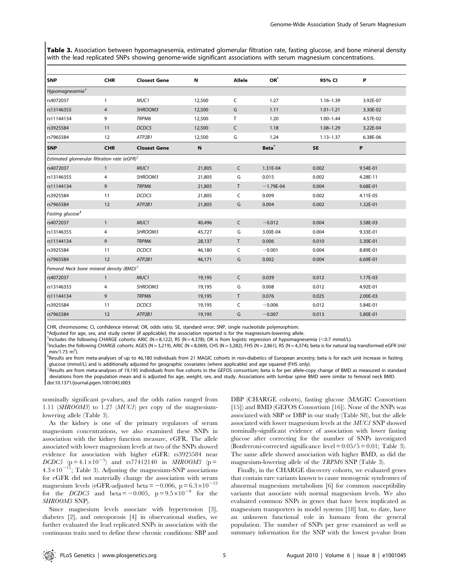Table 3. Association between hypomagnesemia, estimated glomerular filtration rate, fasting glucose, and bone mineral density with the lead replicated SNPs showing genome-wide significant associations with serum magnesium concentrations.

| <b>SNP</b>                                                         | <b>CHR</b>     | <b>Closest Gene</b> | N      | Allele       | $OR^*$            | 95% CI        | P        |  |  |
|--------------------------------------------------------------------|----------------|---------------------|--------|--------------|-------------------|---------------|----------|--|--|
| Hypomagnesemia $^\dagger$                                          |                |                     |        |              |                   |               |          |  |  |
| rs4072037                                                          | $\mathbf{1}$   | MUC1                | 12,500 | $\mathsf C$  | 1.27              | $1.16 - 1.39$ | 3.92E-07 |  |  |
| rs13146355                                                         | 4              | SHROOM3             | 12,500 | G            | 1.11              | $1.01 - 1.21$ | 3.30E-02 |  |  |
| rs11144134                                                         | 9              | TRPM6               | 12,500 | $\mathsf{T}$ | 1.20              | $1.00 - 1.44$ | 4.57E-02 |  |  |
| rs3925584                                                          | 11             | DCDC5               | 12,500 | $\mathsf{C}$ | 1.18              | $1.08 - 1.29$ | 3.22E-04 |  |  |
| rs7965584                                                          | 12             | ATP2B1              | 12,500 | G            | 1.24              | $1.13 - 1.37$ | 6.38E-06 |  |  |
| <b>SNP</b>                                                         | <b>CHR</b>     | <b>Closest Gene</b> | N      |              | Beta <sup>®</sup> | <b>SE</b>     | P        |  |  |
| Estimated glomerular filtration rate (eGFR) $^{\ddag}$             |                |                     |        |              |                   |               |          |  |  |
| rs4072037                                                          | $\overline{1}$ | MUC1                | 21,805 | C            | 1.31E-04          | 0.002         | 9.54E-01 |  |  |
| rs13146355                                                         | 4              | SHROOM3             | 21,805 | G            | 0.015             | 0.002         | 4.28E-11 |  |  |
| rs11144134                                                         | 9              | TRPM6               | 21,805 | $\mathsf{T}$ | $-1.79E-04$       | 0.004         | 9.68E-01 |  |  |
| rs3925584                                                          | 11             | DCDC5               | 21,805 | C            | 0.009             | 0.002         | 4.11E-05 |  |  |
| rs7965584                                                          | 12             | ATP2B1              | 21,805 | G            | 0.004             | 0.002         | 1.32E-01 |  |  |
| Fasting glucose <sup>§</sup>                                       |                |                     |        |              |                   |               |          |  |  |
| rs4072037                                                          | $\mathbf{1}$   | MUC1                | 40,496 | $\mathsf{C}$ | $-0.012$          | 0.004         | 3.58E-03 |  |  |
| rs13146355                                                         | 4              | SHROOM3             | 45,727 | G            | 3.00E-04          | 0.004         | 9.33E-01 |  |  |
| rs11144134                                                         | 9              | TRPM6               | 28,137 | $\mathsf{T}$ | 0.006             | 0.010         | 5.30E-01 |  |  |
| rs3925584                                                          | 11             | DCDC5               | 46,180 | C            | $-0.001$          | 0.004         | 8.89E-01 |  |  |
| rs7965584                                                          | 12             | ATP2B1              | 46,171 | G            | 0.002             | 0.004         | 6.69E-01 |  |  |
| Femoral Neck bone mineral density (BMD) <sup><math>  </math></sup> |                |                     |        |              |                   |               |          |  |  |
| rs4072037                                                          | $\overline{1}$ | MUC <sub>1</sub>    | 19,195 | $\mathsf{C}$ | 0.039             | 0.012         | 1.17E-03 |  |  |
| rs13146355                                                         | 4              | SHROOM3             | 19,195 | G            | 0.008             | 0.012         | 4.92E-01 |  |  |
| rs11144134                                                         | 9              | TRPM6               | 19,195 | $\mathsf{T}$ | 0.076             | 0.025         | 2.00E-03 |  |  |
| rs3925584                                                          | 11             | DCDC5               | 19,195 | C            | $-0.006$          | 0.012         | 5.84E-01 |  |  |
| rs7965584                                                          | 12             | ATP2B1              | 19,195 | G            | $-0.007$          | 0.013         | 5.80E-01 |  |  |

CHR, chromosome; CI, confidence interval; OR, odds ratio; SE, standard error; SNP, single nucleotide polymorphism.

\*Adjusted for age, sex, and study center (if applicable); the association reported is for the magnesium-lowering allele.

The ludes the following CHARGE cohorts: ARIC (N=8,122), RS (N=4,378); OR is from logistic regression of hypomagnesemia (<0.7 mmol/L).  $\frac{1}{2}$  and the following CHARGE cohorts: AGES (N=3,212). ABIC (N=8,060). CHS (N=3,23

 $^{\ddag}$ Includes the following CHARGE cohorts: AGES (N = 3,219), ARIC (N = 8,069), CHS (N = 3,282), FHS (N = 2,861), RS (N = 4,374); beta is for natural log transformed eGFR (ml/ min/1.73 m<sup>2</sup>).

<sup>§</sup>Results are from meta-analyses of up to 46,180 individuals from 21 MAGIC cohorts in non-diabetics of European ancestry; beta is for each unit increase in fasting glucose (mmol/L) and is additionally adjusted for geographic covariates (where applicable) and age squared (FHS only).

Results are from meta-analyses of 19,195 individuals from five cohorts in the GEFOS consortium; beta is for per allele-copy change of BMD as measured in standard deviations from the population mean and is adjusted for age, weight, sex, and study. Associations with lumbar spine BMD were similar to femoral neck BMD. doi:10.1371/journal.pgen.1001045.t003

nominally significant p-values, and the odds ratios ranged from 1.11 (SHROOM3) to 1.27 (MUC1) per copy of the magnesiumlowering allele (Table 3).

As the kidney is one of the primary regulators of serum magnesium concentrations, we also examined these SNPs in association with the kidney function measure, eGFR. The allele associated with lower magnesium levels at two of the SNPs showed evidence for association with higher eGFR: rs3925584 near DCDC5 ( $p = 4.1 \times 10^{-5}$ ) and rs77412140 in SHROOM3 ( $p =$  $4.3\times10^{-11}$ ; Table 3). Adjusting the magnesium-SNP associations for eGFR did not materially change the association with serum magnesium levels (eGFR-adjusted beta =  $-0.006$ , p =  $6.3 \times 10^{-12}$ ) for the DCDC5 and beta  $= -0.005$ , p  $= 9.5 \times 10^{-9}$  for the SHROOM3 SNP).

Since magnesium levels associate with hypertension [3], diabetes [2], and osteoporosis [4] in observational studies, we further evaluated the lead replicated SNPs in association with the continuous traits used to define these chronic conditions: SBP and DBP (CHARGE cohorts), fasting glucose (MAGIC Consortium [15]) and BMD (GEFOS Consortium [16]). None of the SNPs was associated with SBP or DBP in our study (Table S8), but the allele associated with lower magnesium levels at the MUC1 SNP showed nominally-significant evidence of association with lower fasting glucose after correcting for the number of SNPs investigated (Bonferroni-corrected significance level  $= 0.05/5 = 0.01$ ; Table 3). The same allele showed association with higher BMD, as did the magnesium-lowering allele of the TRPM6 SNP (Table 3).

Finally, in the CHARGE discovery cohorts, we evaluated genes that contain rare variants known to cause monogenic syndromes of abnormal magnesium metabolism [6] for common susceptibility variants that associate with normal magnesium levels. We also evaluated common SNPs in genes that have been implicated as magnesium transporters in model systems [18] but, to date, have an unknown functional role in humans from the general population. The number of SNPs per gene examined as well as summary information for the SNP with the lowest p-value from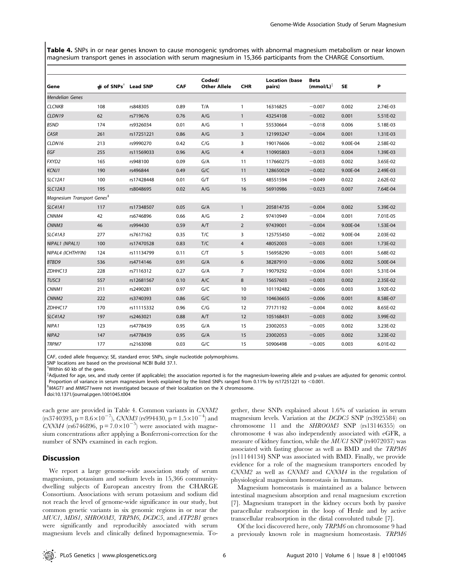Table 4. SNPs in or near genes known to cause monogenic syndromes with abnormal magnesium metabolism or near known magnesium transport genes in association with serum magnesium in 15,366 participants from the CHARGE Consortium.

| Gene                                   | $#$ of SNPs <sup>†</sup> Lead SNP |            | <b>CAF</b> | Coded/<br><b>Other Allele</b> | <b>CHR</b>     | <b>Location (base</b><br>pairs) | <b>Beta</b><br>$(mmol/L)^{\ddagger}$ | <b>SE</b> | Ρ        |
|----------------------------------------|-----------------------------------|------------|------------|-------------------------------|----------------|---------------------------------|--------------------------------------|-----------|----------|
| <b>Mendelian Genes</b>                 |                                   |            |            |                               |                |                                 |                                      |           |          |
| <b>CLCNKB</b>                          | 108                               | rs848305   | 0.89       | T/A                           | $\mathbf{1}$   | 16316825                        | $-0.007$                             | 0.002     | 2.74E-03 |
| CLDN19                                 | 62                                | rs719676   | 0.76       | A/G                           | $\mathbf{1}$   | 43254108                        | $-0.002$                             | 0.001     | 5.51E-02 |
| <b>BSND</b>                            | 174                               | rs9326034  | 0.01       | A/G                           | $\mathbf{1}$   | 55530664                        | $-0.018$                             | 0.006     | 5.18E-03 |
| <b>CASR</b>                            | 261                               | rs17251221 | 0.86       | A/G                           | 3              | 121993247                       | $-0.004$                             | 0.001     | 1.31E-03 |
| CLDN16                                 | 213                               | rs9990270  | 0.42       | C/G                           | 3              | 190176606                       | $-0.002$                             | 9.00E-04  | 2.58E-02 |
| EGF                                    | 255                               | rs11569033 | 0.96       | A/G                           | $\overline{4}$ | 110905803                       | $-0.013$                             | 0.004     | 1.39E-03 |
| FXYD2                                  | 165                               | rs948100   | 0.09       | G/A                           | 11             | 117660275                       | $-0.003$                             | 0.002     | 3.65E-02 |
| <b>KCNJ1</b>                           | 190                               | rs496844   | 0.49       | G/C                           | 11             | 128650029                       | $-0.002$                             | 9.00E-04  | 2.49E-03 |
| <b>SLC12A1</b>                         | 100                               | rs17428448 | 0.01       | G/T                           | 15             | 48551594                        | $-0.049$                             | 0.022     | 2.62E-02 |
| <b>SLC12A3</b>                         | 195                               | rs8048695  | 0.02       | A/G                           | 16             | 56910986                        | $-0.023$                             | 0.007     | 7.64E-04 |
| Magnesium Transport Genes <sup>§</sup> |                                   |            |            |                               |                |                                 |                                      |           |          |
| <b>SLC41A1</b>                         | 117                               | rs17348507 | 0.05       | G/A                           | $\mathbf{1}$   | 205814735                       | $-0.004$                             | 0.002     | 5.39E-02 |
| CNNM4                                  | 42                                | rs6746896  | 0.66       | A/G                           | $\overline{2}$ | 97410949                        | $-0.004$                             | 0.001     | 7.01E-05 |
| CNNM3                                  | 46                                | rs994430   | 0.59       | A/T                           | $\overline{2}$ | 97439001                        | $-0.004$                             | 9.00E-04  | 1.53E-04 |
| <b>SLC41A3</b>                         | 277                               | rs7617162  | 0.35       | T/C                           | 3              | 125755450                       | $-0.002$                             | 9.00E-04  | 2.03E-02 |
| NIPAL1 (NPAL1)                         | 100                               | rs17470528 | 0.83       | T/C                           | 4              | 48052003                        | $-0.003$                             | 0.001     | 1.73E-02 |
| NIPAL4 (ICHTHYIN)                      | 124                               | rs11134799 | 0.11       | C/T                           | 5              | 156958290                       | $-0.003$                             | 0.001     | 5.68E-02 |
| BTBD9                                  | 536                               | rs4714146  | 0.91       | G/A                           | 6              | 38287910                        | $-0.006$                             | 0.002     | 5.00E-04 |
| ZDHHC13                                | 228                               | rs7116312  | 0.27       | G/A                           | $\overline{7}$ | 19079292                        | $-0.004$                             | 0.001     | 5.31E-04 |
| TUSC3                                  | 557                               | rs12681567 | 0.10       | A/C                           | 8              | 15657603                        | $-0.003$                             | 0.002     | 2.35E-02 |
| CNNM1                                  | 211                               | rs2490281  | 0.97       | G/C                           | 10             | 101192482                       | $-0.006$                             | 0.003     | 3.92E-02 |
| <b>CNNM2</b>                           | 222                               | rs3740393  | 0.86       | G/C                           | 10             | 104636655                       | $-0.006$                             | 0.001     | 8.58E-07 |
| ZDHHC17                                | 170                               | rs11115332 | 0.96       | C/G                           | 12             | 77171192                        | $-0.004$                             | 0.002     | 8.65E-02 |
| <b>SLC41A2</b>                         | 197                               | rs2463021  | 0.88       | A/T                           | 12             | 105168431                       | $-0.003$                             | 0.002     | 3.99E-02 |
| NIPA <sub>1</sub>                      | 123                               | rs4778439  | 0.95       | G/A                           | 15             | 23002053                        | $-0.005$                             | 0.002     | 3.23E-02 |
| NIPA <sub>2</sub>                      | 147                               | rs4778439  | 0.95       | G/A                           | 15             | 23002053                        | $-0.005$                             | 0.002     | 3.23E-02 |
| TRPM7                                  | 177                               | rs2163098  | 0.03       | G/C                           | 15             | 50906498                        | $-0.005$                             | 0.003     | 6.01E-02 |

CAF, coded allele frequency; SE, standard error; SNPs, single nucleotide polymorphisms.

SNP locations are based on the provisional NCBI Build 37.1.

{ Adjusted for age, sex, and study center (if applicable); the association reported is for the magnesium-lowering allele and p-values are adjusted for genomic control. Proportion of variance in serum magnesium levels explained by the listed SNPs ranged from 0.11% by rs17251221 to  $<$ 0.001.

 $\delta$ MAGT1 and MMGT1were not investigated because of their localization on the X chromosome.

doi:10.1371/journal.pgen.1001045.t004

each gene are provided in Table 4. Common variants in CNNM2  $\text{(rs3740393, p = } 8.6 \times 10^{-7}$ , *CNNM3* (rs994430, p =  $1.5 \times 10^{-4}$ ) and CNNM4 (rs6746896,  $p = 7.0 \times 10^{-5}$ ) were associated with magnesium concentrations after applying a Bonferroni-correction for the number of SNPs examined in each region.

#### **Discussion**

We report a large genome-wide association study of serum magnesium, potassium and sodium levels in 15,366 communitydwelling subjects of European ancestry from the CHARGE Consortium. Associations with serum potassium and sodium did not reach the level of genome-wide significance in our study, but common genetic variants in six genomic regions in or near the MUC1, MDS1, SHROOM3, TRPM6, DCDC5, and ATP2B1 genes were significantly and reproducibly associated with serum magnesium levels and clinically defined hypomagnesemia. Together, these SNPs explained about 1.6% of variation in serum magnesium levels. Variation at the DCDC5 SNP (rs3925584) on chromosome 11 and the SHROOM3 SNP (rs13146355) on chromosome 4 was also independently associated with eGFR, a measure of kidney function, while the MUC1 SNP (rs4072037) was associated with fasting glucose as well as BMD and the TRPM6 (rs11144134) SNP was associated with BMD. Finally, we provide evidence for a role of the magnesium transporters encoded by CNNM2 as well as CNNM3 and CNNM4 in the regulation of physiological magnesium homeostasis in humans.

Magnesium homeostasis is maintained as a balance between intestinal magnesium absorption and renal magnesium excretion [7]. Magnesium transport in the kidney occurs both by passive paracellular reabsorption in the loop of Henle and by active transcellular reabsorption in the distal convoluted tubule [7].

Of the loci discovered here, only TRPM6 on chromosome 9 had a previously known role in magnesium homeostasis. TRPM6

<sup>{</sup> Within 60 kb of the gene.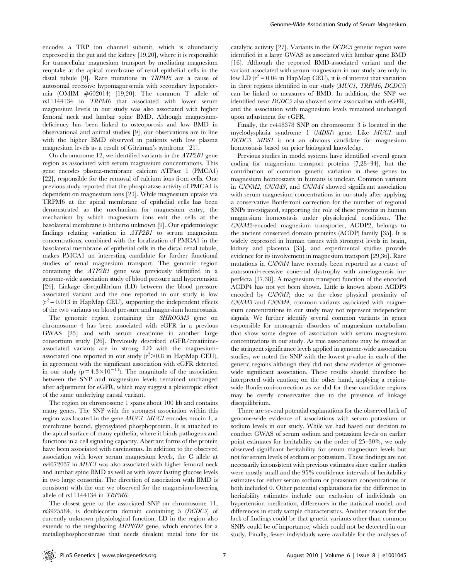encodes a TRP ion channel subunit, which is abundantly expressed in the gut and the kidney [19,20], where it is responsible for transcellular magnesium transport by mediating magnesium reuptake at the apical membrane of renal epithelial cells in the distal tubule [9]. Rare mutations in TRPM6 are a cause of autosomal recessive hypomagnesemia with secondary hypocalcemia (OMIM #602014) [19,20]. The common T allele of rs11144134 in TRPM6 that associated with lower serum magnesium levels in our study was also associated with higher femoral neck and lumbar spine BMD. Although magnesiumdeficiency has been linked to osteoporosis and low BMD in observational and animal studies [9], our observations are in line with the higher BMD observed in patients with low plasma magnesium levels as a result of Gitelman's syndrome [21].

On chromosome 12, we identified variants in the ATP2B1 gene region as associated with serum magnesium concentrations. This gene encodes plasma-membrane calcium ATPase 1 (PMCA1) [22], responsible for the removal of calcium ions from cells. One previous study reported that the phosphatase activity of PMCA1 is dependent on magnesium ions [23]. While magnesium uptake via TRPM6 at the apical membrane of epithelial cells has been demonstrated as the mechanism for magnesium entry, the mechanism by which magnesium ions exit the cells at the basolateral membrane is hitherto unknown [9]. Our epidemiologic findings relating variation in ATP2B1 to serum magnesium concentrations, combined with the localization of PMCA1 in the basolateral membrane of epithelial cells in the distal renal tubule, makes PMCA1 an interesting candidate for further functional studies of renal magnesium transport. The genomic region containing the ATP2B1 gene was previously identified in a genome-wide association study of blood pressure and hypertension [24]. Linkage disequilibrium (LD) between the blood pressure associated variant and the one reported in our study is low  $(r^2 = 0.013$  in HapMap CEU), supporting the independent effects of the two variants on blood pressure and magnesium homeostasis.

The genomic region containing the SHROOM3 gene on chromosome 4 has been associated with eGFR in a previous GWAS [25] and with serum creatinine in another large consortium study [26]. Previously described eGFR/creatinineassociated variants are in strong LD with the magnesiumassociated one reported in our study  $(r^2 > 0.8$  in HapMap CEU), in agreement with the significant association with eGFR detected in our study ( $p = 4.3 \times 10^{-11}$ ). The magnitude of the association between the SNP and magnesium levels remained unchanged after adjustment for eGFR, which may suggest a pleiotropic effect of the same underlying causal variant.

The region on chromosome 1 spans about 100 kb and contains many genes. The SNP with the strongest association within this region was located in the gene MUC1. MUC1 encodes mucin 1, a membrane bound, glycosylated phosphoprotein. It is attached to the apical surface of many epithelia, where it binds pathogens and functions in a cell signaling capacity. Aberrant forms of the protein have been associated with carcinomas. In addition to the observed association with lower serum magnesium levels, the C allele at rs4072037 in MUC1 was also associated with higher femoral neck and lumbar spine BMD as well as with lower fasting glucose levels in two large consortia. The direction of association with BMD is consistent with the one we observed for the magnesium-lowering allele of rs11144134 in TRPM6.

The closest gene to the associated SNP on chromosome 11, rs3925584, is doublecortin domain containing 5 (DCDC5) of currently unknown physiological function. LD in the region also extends to the neighboring MPPED2 gene, which encodes for a metallophosphoesterase that needs divalent metal ions for its

catalytic activity [27]. Variants in the DCDC5 genetic region were identified in a large GWAS as associated with lumbar spine BMD [16]. Although the reported BMD-associated variant and the variant associated with serum magnesium in our study are only in low LD  $(r^2 = 0.04$  in HapMap CEU), it is of interest that variation in three regions identified in our study (MUC1, TRPM6, DCDC5) can be linked to measures of BMD. In addition, the SNP we identified near DCDC5 also showed some association with eGFR, and the association with magnesium levels remained unchanged upon adjustment for eGFR.

Finally, the rs448378 SNP on chromosome 3 is located in the myelodysplasia syndrome 1 (MDS1) gene. Like MUC1 and DCDC5, MDS1 is not an obvious candidate for magnesium homeostasis based on prior biological knowledge.

Previous studies in model systems have identified several genes coding for magnesium transport proteins [7,28–34], but the contribution of common genetic variation in these genes to magnesium homeostasis in humans is unclear. Common variants in CNNM2, CNNM3, and CNNM4 showed significant association with serum magnesium concentrations in our study after applying a conservative Bonferroni correction for the number of regional SNPs investigated, supporting the role of these proteins in human magnesium homeostasis under physiological conditions. The CNNM2-encoded magnesium transporter, ACDP2, belongs to the ancient conserved domain proteins (ACDP) family [35]. It is widely expressed in human tissues with strongest levels in brain, kidney and placenta [35], and experimental studies provide evidence for its involvement in magnesium transport [29,36]. Rare mutations in CNNM4 have recently been reported as a cause of autosomal-recessive cone-rod dystrophy with amelogenesis imperfecta [37,38]. A magnesium transport function of the encoded ACDP4 has not yet been shown. Little is known about ACDP3 encoded by CNNM3; due to the close physical proximity of CNNM3 and CNNM4, common variants associated with magnesium concentrations in our study may not represent independent signals. We further identify several common variants in genes responsible for monogenic disorders of magnesium metabolism that show some degree of association with serum magnesium concentrations in our study. As true associations may be missed at the stringent significance levels applied in genome-wide association studies, we noted the SNP with the lowest p-value in each of the genetic regions although they did not show evidence of genomewide significant association. These results should therefore be interpreted with caution; on the other hand, applying a regionwide Bonferroni-correction as we did for these candidate regions may be overly conservative due to the presence of linkage disequilibrium.

There are several potential explanations for the observed lack of genome-wide evidence of associations with serum potassium or sodium levels in our study. While we had based our decision to conduct GWAS of serum sodium and potassium levels on earlier point estimates for heritability on the order of 25–30%, we only observed significant heritability for serum magnesium levels but not for serum levels of sodium or potassium. These findings are not necessarily inconsistent with previous estimates since earlier studies were mostly small and the 95% confidence intervals of heritability estimates for either serum sodium or potassium concentrations or both included 0. Other potential explanations for the difference in heritability estimates include our exclusion of individuals on hypertension medication, differences in the statistical model, and differences in study sample characteristics. Another reason for the lack of findings could be that genetic variants other than common SNPs could be of importance, which could not be detected in our study. Finally, fewer individuals were available for the analyses of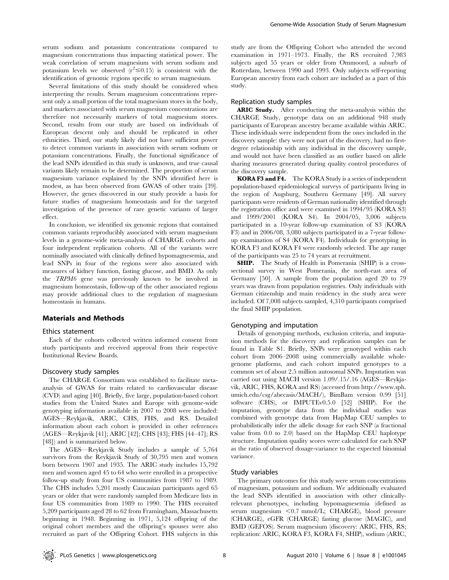serum sodium and potassium concentrations compared to magnesium concentrations thus impacting statistical power. The weak correlation of serum magnesium with serum sodium and potassium levels we observed  $(r^2 \le 0.15)$  is consistent with the identification of genomic regions specific to serum magnesium.

Several limitations of this study should be considered when interpreting the results. Serum magnesium concentrations represent only a small portion of the total magnesium stores in the body, and markers associated with serum magnesium concentrations are therefore not necessarily markers of total magnesium stores. Second, results from our study are based on individuals of European descent only and should be replicated in other ethnicities. Third, our study likely did not have sufficient power to detect common variants in association with serum sodium or potassium concentrations. Finally, the functional significance of the lead SNPs identified in this study is unknown, and true causal variants likely remain to be determined. The proportion of serum magnesium variance explained by the SNPs identified here is modest, as has been observed from GWAS of other traits [39]. However, the genes discovered in our study provide a basis for future studies of magnesium homeostasis and for the targeted investigation of the presence of rare genetic variants of larger effect.

In conclusion, we identified six genomic regions that contained common variants reproducibly associated with serum magnesium levels in a genome-wide meta-analysis of CHARGE cohorts and four independent replication cohorts. All of the variants were nominally associated with clinically defined hypomagnesemia, and lead SNPs in four of the regions were also associated with measures of kidney function, fasting glucose, and BMD. As only the TRPM6 gene was previously known to be involved in magnesium homeostasis, follow-up of the other associated regions may provide additional clues to the regulation of magnesium homeostasis in humans.

# Materials and Methods

#### Ethics statement

Each of the cohorts collected written informed consent from study participants and received approval from their respective Institutional Review Boards.

#### Discovery study samples

The CHARGE Consortium was established to facilitate metaanalysis of GWAS for traits related to cardiovascular disease (CVD) and aging [40]. Briefly, five large, population-based cohort studies from the United States and Europe with genome-wide genotyping information available in 2007 to 2008 were included: AGES—Reykjavik, ARIC, CHS, FHS, and RS. Detailed information about each cohort is provided in other references (AGES—Reykjavik [41]; ARIC [42]; CHS [43]; FHS [44–47]; RS [48]) and is summarized below.

The AGES—Reykjavik Study includes a sample of 5,764 survivors from the Reykjavik Study of 30,795 men and women born between 1907 and 1935. The ARIC study includes 15,792 men and women aged 45 to 64 who were enrolled in a prospective follow-up study from four US communities from 1987 to 1989. The CHS includes 5,201 mostly Caucasian participants aged 65 years or older that were randomly sampled from Medicare lists in four US communities from 1989 to 1990. The FHS recruited 5,209 participants aged 28 to 62 from Framingham, Massachusetts beginning in 1948. Beginning in 1971, 5,124 offspring of the original cohort members and the offspring's spouses were also recruited as part of the Offspring Cohort. FHS subjects in this

study are from the Offspring Cohort who attended the second examination in 1971–1973. Finally, the RS recruited 7,983 subjects aged 55 years or older from Ommoord, a suburb of Rotterdam, between 1990 and 1993. Only subjects self-reporting European ancestry from each cohort are included as a part of this study.

### Replication study samples

ARIC Study. After conducting the meta-analysis within the CHARGE Study, genotype data on an additional 948 study participants of European ancestry became available within ARIC. These individuals were independent from the ones included in the discovery sample: they were not part of the discovery, had no firstdegree relationship with any individual in the discovery sample, and would not have been classified as an outlier based on allele sharing measures generated during quality control procedures of the discovery sample.

KORA F3 and F4. The KORA Study is a series of independent population-based epidemiological surveys of participants living in the region of Augsburg, Southern Germany [49]. All survey participants were residents of German nationality identified through the registration office and were examined in 1994/95 (KORA S3) and 1999/2001 (KORA S4). In 2004/05, 3,006 subjects participated in a 10-year follow-up examination of S3 (KORA F3) and in 2006/08, 3,080 subjects participated in a 7-year followup examination of S4 (KORA F4). Individuals for genotyping in KORA F3 and KORA F4 were randomly selected. The age range of the participants was 25 to 74 years at recruitment.

SHIP. The Study of Health in Pomerania (SHIP) is a crosssectional survey in West Pomerania, the north-east area of Germany [50]. A sample from the population aged 20 to 79 years was drawn from population registries. Only individuals with German citizenship and main residency in the study area were included. Of 7,008 subjects sampled, 4,310 participants comprised the final SHIP population.

#### Genotyping and imputation

Details of genotyping methods, exclusion criteria, and imputation methods for the discovery and replication samples can be found in Table S1. Briefly, SNPs were genotyped within each cohort from 2006–2008 using commercially available wholegenome platforms, and each cohort imputed genotypes to a common set of about 2.5 million autosomal SNPs. Imputation was carried out using MACH version 1.09/.15/.16 (AGES—Reykjavik, ARIC, FHS, KORA and RS) (accessed from http://www.sph. umich.edu/csg/abecasis/MACH/), BimBam version 0.99 [51] software (CHS), or IMPUTEv0.5.0 [52] (SHIP). For the imputation, genotype data from the individual studies was combined with genotype data from HapMap CEU samples to probabilistically infer the allelic dosage for each SNP (a fractional value from 0.0 to 2.0) based on the HapMap CEU haplotype structure. Imputation quality scores were calculated for each SNP as the ratio of observed dosage-variance to the expected binomial variance.

#### Study variables

The primary outcomes for this study were serum concentrations of magnesium, potassium and sodium. We additionally evaluated the lead SNPs identified in association with other clinicallyrelevant phenotypes, including hypomagnesemia (defined as serum magnesium  $< 0.7$  mmol/L; CHARGE), blood pressure (CHARGE), eGFR (CHARGE) fasting glucose (MAGIC), and BMD (GEFOS). Serum magnesium (discovery: ARIC, FHS, RS; replication: ARIC, KORA F3, KORA F4, SHIP), sodium (ARIC,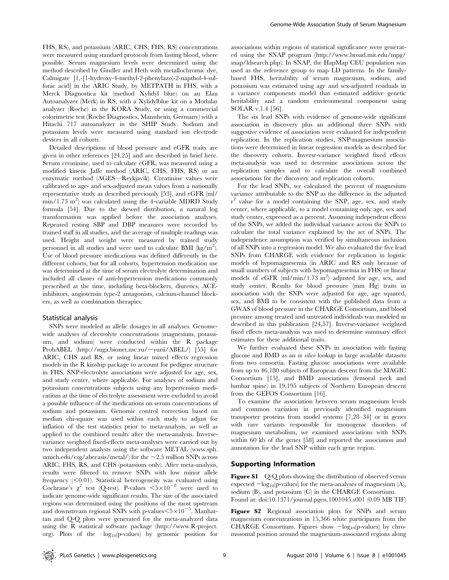FHS, RS), and potassium (ARIC, CHS, FHS, RS) concentrations were measured using standard protocols from fasting blood, where possible. Serum magnesium levels were determined using the method described by Gindler and Heth with metallochromic dye, Calmigate [1,-[1-hydroxy-4-methyl-2-phenylazo)-2-napthol-4-sulfonic acid] in the ARIC Study, by METPATH in FHS, with a Merck Diagnostica kit (method Xylidyl blue) on an Elan Autoanalyzer (Merk) in RS, with a Xylidylblue kit on a Modular analyzer (Roche) in the KORA Study, or using a commercial colorimetric test (Roche Diagnostics, Mannheim, Germany) with a Hitachi 717 autoanalyzer in the SHIP Study. Sodium and potassium levels were measured using standard ion electrode devices in all cohorts.

Detailed descriptions of blood pressure and eGFR traits are given in other references [24,25] and are described in brief here. Serum creatinine, used to calculate eGFR, was measured using a modified kinetic Jaffe method (ARIC, CHS, FHS, RS) or an enzymatic method (AGES—Reykjavik). Creatinine values were calibrated to age- and sex-adjusted mean values from a nationally representative study as described previously [53], and eGFR (ml/  $\text{min}/1.73 \text{ m}^2$ ) was calculated using the 4-variable MDRD Study formula [54]. Due to the skewed distribution, a natural log transformation was applied before the association analyses. Repeated resting SBP and DBP measures were recorded by trained staff in all studies, and the average of multiple readings was used. Height and weight were measured by trained study personnel in all studies and were used to calculate BMI (kg/m<sup>2</sup>). Use of blood pressure medications was defined differently in the different cohorts, but for all cohorts, hypertension medication use was determined at the time of serum electrolyte determination and included all classes of anti-hypertension medications commonly prescribed at the time, including beta-blockers, diuretics, ACEinhibitors, angiotensin type-2 antagonists, calcium-channel blockers, as well as combination therapies.

#### Statistical analysis

SNPs were modeled as allelic dosages in all analyses. Genomewide analyses of electrolyte concentrations (magnesium, potassium, and sodium) were conducted within the R package ProbABEL (http://mga.bionet.nsc.ru/ $\sim$ vurii/ABEL/) [55] for ARIC, CHS and RS, or using linear mixed effects regression models in the R kinship package to account for pedigree structure in FHS. SNP-electrolyte associations were adjusted for age, sex, and study center, where applicable. For analyses of sodium and potassium concentrations subjects using any hypertension medications at the time of electrolyte assessment were excluded to avoid a possible influence of the medications on serum concentrations of sodium and potassium. Genomic control correction based on median chi-square was used within each study to adjust for inflation of the test statistics prior to meta-analysis, as well as applied to the combined results after the meta-analysis. Inversevariance weighted fixed-effects meta-analyses were carried out by two independent analysts using the software METAL (www.sph. umich.edu/csg/abecasis/metal/) for the  $\sim$ 2.5 million SNPs across ARIC, FHS, RS, and CHS (potassium only). After meta-analysis, results were filtered to remove SNPs with low minor allele frequency  $(<0.01$ ). Statistical heterogeneity was evaluated using Cochrane's  $\chi^2$  test (Q-test). P-values  $\leq 5 \times 10^{-8}$  were used to indicate genome-wide significant results. The size of the associated regions was determined using the positions of the most upstream and downstream regional SNPs with p-values $<$ 5 $\times$ 10<sup>-5</sup>. Manhattan and Q-Q plots were generated for the meta-analyzed data using the R statistical software package (http://www.R-project. org). Plots of the  $-\log_{10}(p\text{-values})$  by genomic position for

associations within regions of statistical significance were generated using the SNAP program (http://www.broad.mit.edu/mpg/ snap/ldsearch.php). In SNAP, the HapMap CEU population was used as the reference group to map LD patterns. In the familybased FHS, heritability of serum magnesium, sodium, and potassium was estimated using age and sex-adjusted residuals in a variance components model that estimated additive genetic heritability and a random environmental component using SOLAR v.1.4 [56].

The six lead SNPs with evidence of genome-wide significant association in discovery plus an additional three SNPs with suggestive evidence of association were evaluated for independent replication. In the replication studies, SNP-magnesium associations were determined in linear regression models as described for the discovery cohorts. Inverse-variance weighted fixed effects meta-analysis was used to determine associations across the replication samples and to calculate the overall combined associations for the discovery and replication cohorts.

For the lead SNPs, we calculated the percent of magnesium variance attributable to the SNP as the difference in the adjusted r<sup>2</sup> value for a model containing the SNP, age, sex, and study center, where applicable, to a model containing only age, sex and study center, expressed as a percent. Assuming independent effects of the SNPs, we added the individual variance across the SNPs to calculate the total variance explained by the set of SNPs. The independence assumption was verified by simultaneous inclusion of all SNPs into a regression model. We also evaluated the five lead SNPs from CHARGE with evidence for replication in logistic models of hypomagnesemia (in ARIC and RS only because of small numbers of subjects with hypomagnesemia in FHS) or linear models of eGFR (ml/min/1.73 m<sup>2</sup>) adjusted for age, sex, and study center. Results for blood pressure (mm Hg) traits in association with the SNPs were adjusted for age, age squared, sex, and BMI to be consistent with the published data from a GWAS of blood pressure in the CHARGE Consortium, and blood pressure among treated and untreated individuals was modeled as described in this publication [24,57]. Inverse-variance weighted fixed effects meta-analysis was used to determine summary effect estimates for these additional traits.

We further evaluated these SNPs in association with fasting glucose and BMD as an in silico lookup in large available datasets from two consortia. Fasting glucose associations were available from up to 46,180 subjects of European descent from the MAGIC Consortium [15], and BMD associations (femoral neck and lumbar spine) in 19,195 subjects of Northern European descent from the GEFOS Consortium [16].

To examine the association between serum magnesium levels and common variation in previously identified magnesium transporter proteins from model systems [7,28–34] or in genes with rare variants responsible for monogenic disorders of magnesium metabolism, we examined associations with SNPs within 60 kb of the genes [58] and reported the association and annotation for the lead SNP within each gene region.

# Supporting Information

Figure S1 Q-Q plots showing the distribution of observed versus expected  $-\log_{10}(p\text{-values})$  for the meta-analyses of magnesium (A), sodium (B), and potassium (C) in the CHARGE Consortium. Found at: doi:10.1371/journal.pgen.1001045.s001 (0.09 MB TIF)

Figure S2 Regional association plots for SNPs and serum magnesium concentrations in 15,366 white participants from the CHARGE Consortium. Figures show  $-\log_{10}(p\text{-values})$  by chromosomal position around the magnesium-associated regions along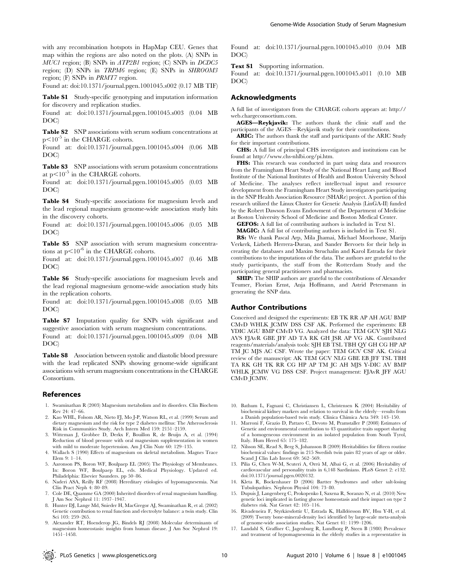with any recombination hotspots in HapMap CEU. Genes that map within the regions are also noted on the plots. (A) SNPs in MUC1 region; (B) SNPs in ATP2B1 region; (C) SNPs in DCDC5 region; (D) SNPs in TRPM6 region; (E) SNPs in SHROOM3 region; (F) SNPs in PRMT7 region.

Found at: doi:10.1371/journal.pgen.1001045.s002 (0.17 MB TIF)

Table S1 Study-specific genotyping and imputation information for discovery and replication studies.

Found at: doi:10.1371/journal.pgen.1001045.s003 (0.04 MB DOC)

Table S2 SNP associations with serum sodium concentrations at  $p<10^{-5}$  in the CHARGE cohorts.

Found at: doi:10.1371/journal.pgen.1001045.s004 (0.06 MB DOC)

Table S3 SNP associations with serum potassium concentrations at  $p<10^{-5}$  in the CHARGE cohorts.

Found at: doi:10.1371/journal.pgen.1001045.s005 (0.03 MB DOC)

Table S4 Study-specific associations for magnesium levels and the lead regional magnesium genome-wide association study hits in the discovery cohorts.

Found at: doi:10.1371/journal.pgen.1001045.s006 (0.05 MB DOC)

Table S5 SNP association with serum magnesium concentrations at  $p<10^{-6}$  in the CHARGE cohorts.

Found at: doi:10.1371/journal.pgen.1001045.s007 (0.46 MB DOC)

Table S6 Study-specific associations for magnesium levels and the lead regional magnesium genome-wide association study hits in the replication cohorts.

Found at: doi:10.1371/journal.pgen.1001045.s008 (0.05 MB DOC)

Table S7 Imputation quality for SNPs with significant and suggestive association with serum magnesium concentrations.

Found at: doi:10.1371/journal.pgen.1001045.s009 (0.04 MB DOC)

Table S8 Association between systolic and diastolic blood pressure with the lead replicated SNPs showing genome-wide significant associations with serum magnesium concentrations in the CHARGE Consortium.

#### References

- 1. Swaminathan R (2003) Magnesium metabolism and its disorders. Clin Biochem Rev 24: 47–66.
- 2. Kao WHL, Folsom AR, Nieto FJ, Mo J-P, Watson RL, et al. (1999) Serum and dietary magnesium and the risk for type 2 diabetes mellitus: The Atherosclerosis Risk in Communities Study. Arch Intern Med 159: 2151–2159.
- 3. Witteman J, Grobbee D, Derkx F, Bouillon R, de Bruijn A, et al. (1994) Reduction of blood pressure with oral magnesium supplementation in women with mild to moderate hypertension. Am J Clin Nutr 60: 129-135.
- 4. Wallach S (1990) Effects of magnesium on skeletal metabolism. Magnes Trace Elem 9: 1–14.
- 5. Aaronson PS, Boron WF, Boulpaep EL (2005) The Physiology of Membranes. In: Boron WF, Boulpaep EL, eds. Medical Physiology. Updated ed. Philadelphia: Elsevier Saunders. pp 50–86.
- 6. Naderi ASA, Reilly RF (2008) Hereditary etiologies of hypomagnesemia. Nat Clin Pract Neph 4: 80–89.
- 7. Cole DE, Quamme GA (2000) Inherited disorders of renal magnesium handling. J Am Soc Nephrol 11: 1937–1947.
- 8. Hunter DJ, Lange Md, Snieder H, MacGregor AJ, Swaminathan R, et al. (2002) Genetic contribution to renal function and electrolyte balance: a twin study. Clin Sci 103: 259–265.
- 9. Alexander RT, Hoenderop JG, Bindels RJ (2008) Molecular determinants of magnesium homeostasis: insights from human disease. J Am Soc Nephrol 19: 1451–1458.

Found at: doi:10.1371/journal.pgen.1001045.s010 (0.04 MB DOC)

#### Text S1 Supporting information.

Found at: doi:10.1371/journal.pgen.1001045.s011 (0.10 MB DOC)

#### Acknowledgments

A full list of investigators from the CHARGE cohorts appears at: http:// web.chargeconsortium.com.

AGES—Reykjavik: The authors thank the clinic staff and the participants of the AGES—Reykjavik study for their contributions.

ARIC: The authors thank the staff and participants of the ARIC Study for their important contributions.

CHS: A full list of principal CHS investigators and institutions can be found at http://www.chs-nhlbi.org/pi.htm.

FHS: This research was conducted in part using data and resources from the Framingham Heart Study of the National Heart Lung and Blood Institute of the National Institutes of Health and Boston University School of Medicine. The analyses reflect intellectual input and resource development from the Framingham Heart Study investigators participating in the SNP Health Association Resource (SHARe) project. A portion of this research utilized the Linux Cluster for Genetic Analysis (LinGA-II) funded by the Robert Dawson Evans Endowment of the Department of Medicine at Boston University School of Medicine and Boston Medical Center.

GEFOS: A full list of contributing authors is included in Text S1.

MAGIC: A full list of contributing authors is included in Text S1.

RS: We thank Pascal Arp, Mila Jhamai, Michael Moorhouse, Marijn Verkerk, Lizbeth Herrera-Duran, and Sander Bervoets for their help in creating the databases and Maxim Struchalin and Karol Estrada for their contributions to the imputations of the data. The authors are grateful to the study participants, the staff from the Rotterdam Study and the participating general practitioners and pharmacists.

SHIP: The SHIP authors are grateful to the contributions of Alexander Teumer, Florian Ernst, Anja Hoffmann, and Astrid Petersmann in generating the SNP data.

# Author Contributions

Conceived and designed the experiments: EB TK RR AP AH AGU BMP CMvD WHLK JCMW DSS CSF AK. Performed the experiments: EB YDIC AGU BMP CMvD VG. Analyzed the data: TEM GCV SJH NLG AVS FJAvR GBE JFF AD TA RK GH JSR AP VG AK. Contributed reagents/materials/analysis tools: SJH EB TSL TBH QY GH CG HP AP TM JC MJS AC CSF. Wrote the paper: TEM GCV CSF AK. Critical review of the manuscript: AK TEM GCV NLG GBE EB JFF TSL TBH TA RK GH TK RR CG HP AP TM JC AH MJS Y-DIC AV BMP WHLK JCMW VG DSS CSF. Project management: FJAvR JFF AGU CMvD JCMW.

- 10. Bathum L, Fagnani C, Christiansen L, Christensen K (2004) Heritability of biochemical kidney markers and relation to survival in the elderly—results from a Danish population-based twin study. Clinica Chimica Acta 349: 143–150.
- 11. Marroni F, Grazio D, Pattaro C, Devoto M, Pramstaller P (2008) Estimates of Genetic and environmental contribution to 43 quantitative traits support sharing of a homogeneous environment in an isolated population from South Tyrol, Italy. Hum Hered 65: 175–182.
- 12. Nilsson SE, Read S, Berg S, Johansson B (2009) Heritabilities for fifteen routine biochemical values: findings in 215 Swedish twin pairs 82 years of age or older. Scand J Clin Lab Invest 69: 562-569.
- 13. Pilia G, Chen W-M, Scuteri A, Orru´ M, Albai G, et al. (2006) Heritability of cardiovascular and personality traits in 6,148 Sardinians. PLoS Genet 2: e132. doi:10.1371/journal.pgen.0020132.
- 14. Kleta R, Bockenhauer D (2006) Bartter Syndromes and other salt-losing Tubulopathies. Nephron Physiol 104: 73–80.
- 15. Dupuis J, Langenberg C, Prokopenko I, Saxena R, Soranzo N, et al. (2010) New genetic loci implicated in fasting glucose homeostasis and their impact on type 2 diabetes risk. Nat Genet 42: 105–116.
- 16. Rivadeneira F, Styrkársdottir U, Estrada K, Halldórsson BV, Hsu Y-H, et al. (2009) Twenty bone-mineral-density loci identified by large-scale meta-analysis of genome-wide association studies. Nat Genet 41: 1199–1206.
- 17. Landahl S, Graffner C, Jagenburg R, Lundborg P, Steen B (1980) Prevalence and treatment of hypomagnesemia in the elderly studies in a representative in